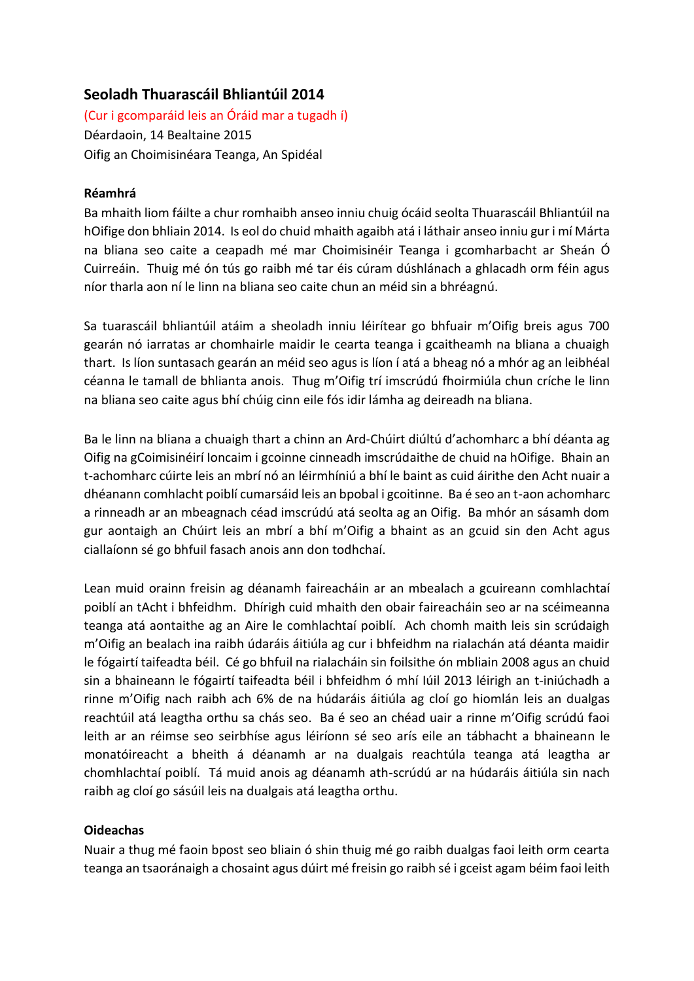# **Seoladh Thuarascáil Bhliantúil 2014**

(Cur i gcomparáid leis an Óráid mar a tugadh í) Déardaoin, 14 Bealtaine 2015 Oifig an Choimisinéara Teanga, An Spidéal

### **Réamhrá**

Ba mhaith liom fáilte a chur romhaibh anseo inniu chuig ócáid seolta Thuarascáil Bhliantúil na hOifige don bhliain 2014. Is eol do chuid mhaith agaibh atá i láthair anseo inniu gur i mí Márta na bliana seo caite a ceapadh mé mar Choimisinéir Teanga i gcomharbacht ar Sheán Ó Cuirreáin. Thuig mé ón tús go raibh mé tar éis cúram dúshlánach a ghlacadh orm féin agus níor tharla aon ní le linn na bliana seo caite chun an méid sin a bhréagnú.

Sa tuarascáil bhliantúil atáim a sheoladh inniu léirítear go bhfuair m'Oifig breis agus 700 gearán nó iarratas ar chomhairle maidir le cearta teanga i gcaitheamh na bliana a chuaigh thart. Is líon suntasach gearán an méid seo agus is líon í atá a bheag nó a mhór ag an leibhéal céanna le tamall de bhlianta anois. Thug m'Oifig trí imscrúdú fhoirmiúla chun críche le linn na bliana seo caite agus bhí chúig cinn eile fós idir lámha ag deireadh na bliana.

Ba le linn na bliana a chuaigh thart a chinn an Ard-Chúirt diúltú d'achomharc a bhí déanta ag Oifig na gCoimisinéirí Ioncaim i gcoinne cinneadh imscrúdaithe de chuid na hOifige. Bhain an t-achomharc cúirte leis an mbrí nó an léirmhíniú a bhí le baint as cuid áirithe den Acht nuair a dhéanann comhlacht poiblí cumarsáid leis an bpobal i gcoitinne. Ba é seo an t-aon achomharc a rinneadh ar an mbeagnach céad imscrúdú atá seolta ag an Oifig. Ba mhór an sásamh dom gur aontaigh an Chúirt leis an mbrí a bhí m'Oifig a bhaint as an gcuid sin den Acht agus ciallaíonn sé go bhfuil fasach anois ann don todhchaí.

Lean muid orainn freisin ag déanamh faireacháin ar an mbealach a gcuireann comhlachtaí poiblí an tAcht i bhfeidhm. Dhírigh cuid mhaith den obair faireacháin seo ar na scéimeanna teanga atá aontaithe ag an Aire le comhlachtaí poiblí. Ach chomh maith leis sin scrúdaigh m'Oifig an bealach ina raibh údaráis áitiúla ag cur i bhfeidhm na rialachán atá déanta maidir le fógairtí taifeadta béil. Cé go bhfuil na rialacháin sin foilsithe ón mbliain 2008 agus an chuid sin a bhaineann le fógairtí taifeadta béil i bhfeidhm ó mhí Iúil 2013 léirigh an t-iniúchadh a rinne m'Oifig nach raibh ach 6% de na húdaráis áitiúla ag cloí go hiomlán leis an dualgas reachtúil atá leagtha orthu sa chás seo. Ba é seo an chéad uair a rinne m'Oifig scrúdú faoi leith ar an réimse seo seirbhíse agus léiríonn sé seo arís eile an tábhacht a bhaineann le monatóireacht a bheith á déanamh ar na dualgais reachtúla teanga atá leagtha ar chomhlachtaí poiblí. Tá muid anois ag déanamh ath-scrúdú ar na húdaráis áitiúla sin nach raibh ag cloí go sásúil leis na dualgais atá leagtha orthu.

## **Oideachas**

Nuair a thug mé faoin bpost seo bliain ó shin thuig mé go raibh dualgas faoi leith orm cearta teanga an tsaoránaigh a chosaint agus dúirt mé freisin go raibh sé i gceist agam béim faoi leith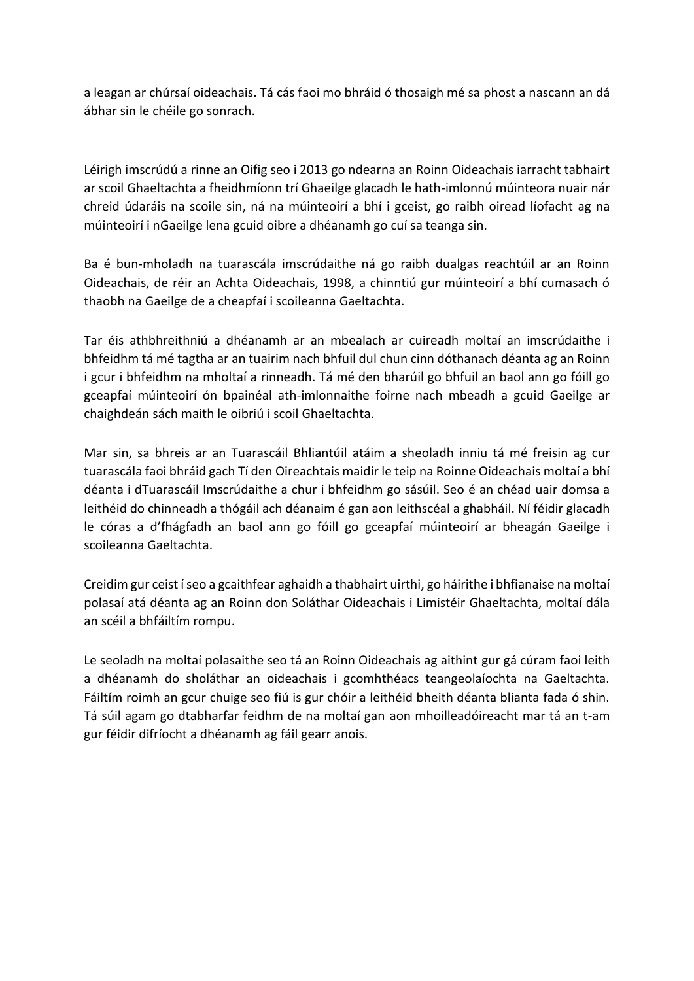a leagan ar chúrsaí oideachais. Tá cás faoi mo bhráid ó thosaigh mé sa phost a nascann an dá ábhar sin le chéile go sonrach.

Léirigh imscrúdú a rinne an Oifig seo i 2013 go ndearna an Roinn Oideachais iarracht tabhairt ar scoil Ghaeltachta a fheidhmíonn trí Ghaeilge glacadh le hath-imlonnú múinteora nuair nár chreid údaráis na scoile sin, ná na múinteoirí a bhí i gceist, go raibh oiread líofacht ag na múinteoirí i nGaeilge lena gcuid oibre a dhéanamh go cuí sa teanga sin.

Ba é bun-mholadh na tuarascála imscrúdaithe ná go raibh dualgas reachtúil ar an Roinn Oideachais, de réir an Achta Oideachais, 1998, a chinntiú gur múinteoirí a bhí cumasach ó thaobh na Gaeilge de a cheapfaí i scoileanna Gaeltachta.

Tar éis athbhreithniú a dhéanamh ar an mbealach ar cuireadh moltaí an imscrúdaithe i bhfeidhm tá mé tagtha ar an tuairim nach bhfuil dul chun cinn dóthanach déanta ag an Roinn i gcur i bhfeidhm na mholtaí a rinneadh. Tá mé den bharúil go bhfuil an baol ann go fóill go gceapfaí múinteoirí ón bpainéal ath-imlonnaithe foirne nach mbeadh a gcuid Gaeilge ar chaighdeán sách maith le oibriú i scoil Ghaeltachta.

Mar sin, sa bhreis ar an Tuarascáil Bhliantúil atáim a sheoladh inniu tá mé freisin ag cur tuarascála faoi bhráid gach Tí den Oireachtais maidir le teip na Roinne Oideachais moltaí a bhí déanta i dTuarascáil Imscrúdaithe a chur i bhfeidhm go sásúil. Seo é an chéad uair domsa a leithéid do chinneadh a thógáil ach déanaim é gan aon leithscéal a ghabháil. Ní féidir glacadh le córas a d'fhágfadh an baol ann go fóill go gceapfaí múinteoirí ar bheagán Gaeilge i scoileanna Gaeltachta.

Creidim gur ceist í seo a gcaithfear aghaidh a thabhairt uirthi, go háirithe i bhfianaise na moltaí polasaí atá déanta ag an Roinn don Soláthar Oideachais i Limistéir Ghaeltachta, moltaí dála an scéil a bhfáiltím rompu.

Le seoladh na moltaí polasaithe seo tá an Roinn Oideachais ag aithint gur gá cúram faoi leith a dhéanamh do sholáthar an oideachais i gcomhthéacs teangeolaíochta na Gaeltachta. Fáiltím roimh an gcur chuige seo fiú is gur chóir a leithéid bheith déanta blianta fada ó shin. Tá súil agam go dtabharfar feidhm de na moltaí gan aon mhoilleadóireacht mar tá an t-am gur féidir difríocht a dhéanamh ag fáil gearr anois.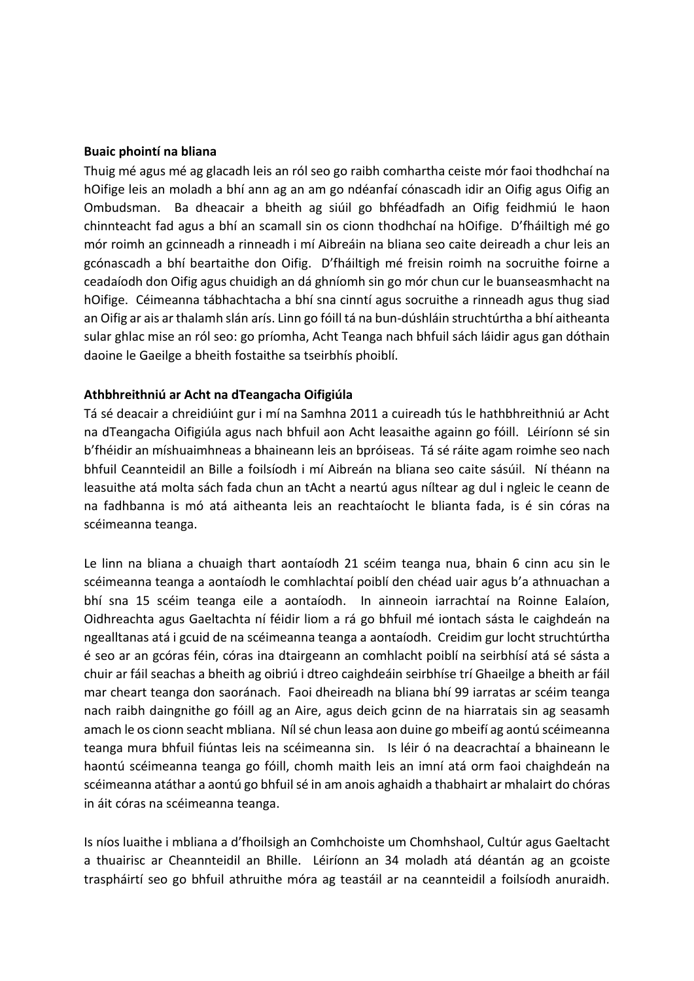#### **Buaic phointí na bliana**

Thuig mé agus mé ag glacadh leis an ról seo go raibh comhartha ceiste mór faoi thodhchaí na hOifige leis an moladh a bhí ann ag an am go ndéanfaí cónascadh idir an Oifig agus Oifig an Ombudsman. Ba dheacair a bheith ag siúil go bhféadfadh an Oifig feidhmiú le haon chinnteacht fad agus a bhí an scamall sin os cionn thodhchaí na hOifige. D'fháiltigh mé go mór roimh an gcinneadh a rinneadh i mí Aibreáin na bliana seo caite deireadh a chur leis an gcónascadh a bhí beartaithe don Oifig. D'fháiltigh mé freisin roimh na socruithe foirne a ceadaíodh don Oifig agus chuidigh an dá ghníomh sin go mór chun cur le buanseasmhacht na hOifige. Céimeanna tábhachtacha a bhí sna cinntí agus socruithe a rinneadh agus thug siad an Oifig ar ais ar thalamh slán arís. Linn go fóill tá na bun-dúshláin struchtúrtha a bhí aitheanta sular ghlac mise an ról seo: go príomha, Acht Teanga nach bhfuil sách láidir agus gan dóthain daoine le Gaeilge a bheith fostaithe sa tseirbhís phoiblí.

#### **Athbhreithniú ar Acht na dTeangacha Oifigiúla**

Tá sé deacair a chreidiúint gur i mí na Samhna 2011 a cuireadh tús le hathbhreithniú ar Acht na dTeangacha Oifigiúla agus nach bhfuil aon Acht leasaithe againn go fóill. Léiríonn sé sin b'fhéidir an míshuaimhneas a bhaineann leis an bpróiseas. Tá sé ráite agam roimhe seo nach bhfuil Ceannteidil an Bille a foilsíodh i mí Aibreán na bliana seo caite sásúil. Ní théann na leasuithe atá molta sách fada chun an tAcht a neartú agus níltear ag dul i ngleic le ceann de na fadhbanna is mó atá aitheanta leis an reachtaíocht le blianta fada, is é sin córas na scéimeanna teanga.

Le linn na bliana a chuaigh thart aontaíodh 21 scéim teanga nua, bhain 6 cinn acu sin le scéimeanna teanga a aontaíodh le comhlachtaí poiblí den chéad uair agus b'a athnuachan a bhí sna 15 scéim teanga eile a aontaíodh. In ainneoin iarrachtaí na Roinne Ealaíon, Oidhreachta agus Gaeltachta ní féidir liom a rá go bhfuil mé iontach sásta le caighdeán na ngealltanas atá i gcuid de na scéimeanna teanga a aontaíodh. Creidim gur locht struchtúrtha é seo ar an gcóras féin, córas ina dtairgeann an comhlacht poiblí na seirbhísí atá sé sásta a chuir ar fáil seachas a bheith ag oibriú i dtreo caighdeáin seirbhíse trí Ghaeilge a bheith ar fáil mar cheart teanga don saoránach. Faoi dheireadh na bliana bhí 99 iarratas ar scéim teanga nach raibh daingnithe go fóill ag an Aire, agus deich gcinn de na hiarratais sin ag seasamh amach le os cionn seacht mbliana. Níl sé chun leasa aon duine go mbeifí ag aontú scéimeanna teanga mura bhfuil fiúntas leis na scéimeanna sin. Is léir ó na deacrachtaí a bhaineann le haontú scéimeanna teanga go fóill, chomh maith leis an imní atá orm faoi chaighdeán na scéimeanna atáthar a aontú go bhfuil sé in am anois aghaidh a thabhairt ar mhalairt do chóras in áit córas na scéimeanna teanga.

Is níos luaithe i mbliana a d'fhoilsigh an Comhchoiste um Chomhshaol, Cultúr agus Gaeltacht a thuairisc ar Cheannteidil an Bhille. Léiríonn an 34 moladh atá déantán ag an gcoiste traspháirtí seo go bhfuil athruithe móra ag teastáil ar na ceannteidil a foilsíodh anuraidh.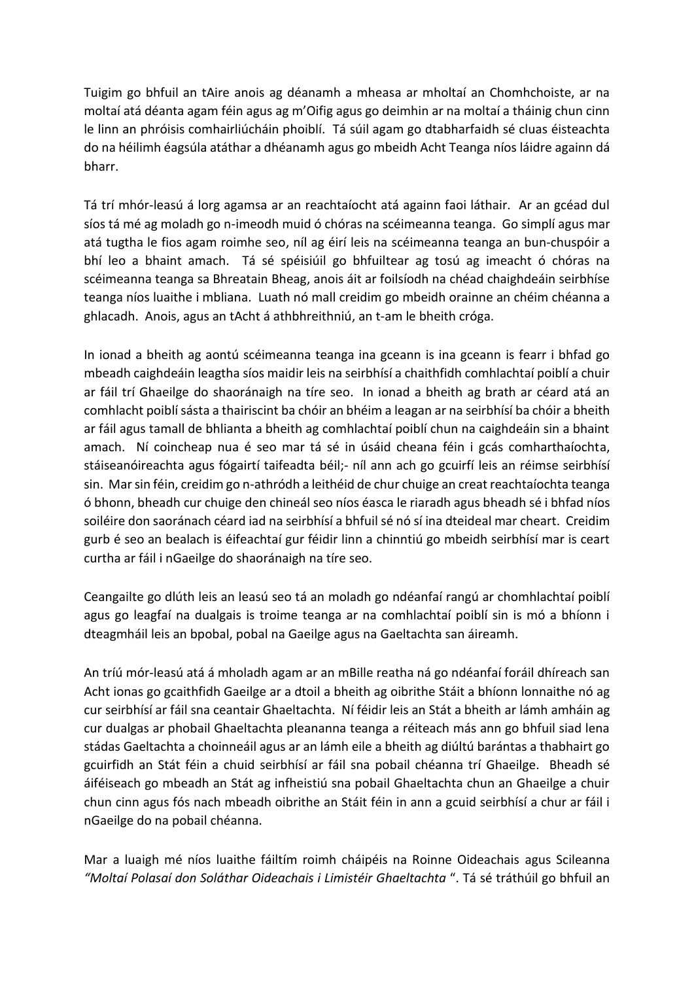Tuigim go bhfuil an tAire anois ag déanamh a mheasa ar mholtaí an Chomhchoiste, ar na moltaí atá déanta agam féin agus ag m'Oifig agus go deimhin ar na moltaí a tháinig chun cinn le linn an phróisis comhairliúcháin phoiblí. Tá súil agam go dtabharfaidh sé cluas éisteachta do na héilimh éagsúla atáthar a dhéanamh agus go mbeidh Acht Teanga níos láidre againn dá bharr.

Tá trí mhór-leasú á lorg agamsa ar an reachtaíocht atá againn faoi láthair. Ar an gcéad dul síos tá mé ag moladh go n-imeodh muid ó chóras na scéimeanna teanga. Go simplí agus mar atá tugtha le fios agam roimhe seo, níl ag éirí leis na scéimeanna teanga an bun-chuspóir a bhí leo a bhaint amach. Tá sé spéisiúil go bhfuiltear ag tosú ag imeacht ó chóras na scéimeanna teanga sa Bhreatain Bheag, anois áit ar foilsíodh na chéad chaighdeáin seirbhíse teanga níos luaithe i mbliana. Luath nó mall creidim go mbeidh orainne an chéim chéanna a ghlacadh. Anois, agus an tAcht á athbhreithniú, an t-am le bheith cróga.

In ionad a bheith ag aontú scéimeanna teanga ina gceann is ina gceann is fearr i bhfad go mbeadh caighdeáin leagtha síos maidir leis na seirbhísí a chaithfidh comhlachtaí poiblí a chuir ar fáil trí Ghaeilge do shaoránaigh na tíre seo. In ionad a bheith ag brath ar céard atá an comhlacht poiblí sásta a thairiscint ba chóir an bhéim a leagan ar na seirbhísí ba chóir a bheith ar fáil agus tamall de bhlianta a bheith ag comhlachtaí poiblí chun na caighdeáin sin a bhaint amach. Ní coincheap nua é seo mar tá sé in úsáid cheana féin i gcás comharthaíochta, stáiseanóireachta agus fógairtí taifeadta béil;- níl ann ach go gcuirfí leis an réimse seirbhísí sin. Mar sin féin, creidim go n-athródh a leithéid de chur chuige an creat reachtaíochta teanga ó bhonn, bheadh cur chuige den chineál seo níos éasca le riaradh agus bheadh sé i bhfad níos soiléire don saoránach céard iad na seirbhísí a bhfuil sé nó sí ina dteideal mar cheart. Creidim gurb é seo an bealach is éifeachtaí gur féidir linn a chinntiú go mbeidh seirbhísí mar is ceart curtha ar fáil i nGaeilge do shaoránaigh na tíre seo.

Ceangailte go dlúth leis an leasú seo tá an moladh go ndéanfaí rangú ar chomhlachtaí poiblí agus go leagfaí na dualgais is troime teanga ar na comhlachtaí poiblí sin is mó a bhíonn i dteagmháil leis an bpobal, pobal na Gaeilge agus na Gaeltachta san áireamh.

An tríú mór-leasú atá á mholadh agam ar an mBille reatha ná go ndéanfaí foráil dhíreach san Acht ionas go gcaithfidh Gaeilge ar a dtoil a bheith ag oibrithe Stáit a bhíonn lonnaithe nó ag cur seirbhísí ar fáil sna ceantair Ghaeltachta. Ní féidir leis an Stát a bheith ar lámh amháin ag cur dualgas ar phobail Ghaeltachta pleananna teanga a réiteach más ann go bhfuil siad lena stádas Gaeltachta a choinneáil agus ar an lámh eile a bheith ag diúltú barántas a thabhairt go gcuirfidh an Stát féin a chuid seirbhísí ar fáil sna pobail chéanna trí Ghaeilge. Bheadh sé áiféiseach go mbeadh an Stát ag infheistiú sna pobail Ghaeltachta chun an Ghaeilge a chuir chun cinn agus fós nach mbeadh oibrithe an Stáit féin in ann a gcuid seirbhísí a chur ar fáil i nGaeilge do na pobail chéanna.

Mar a luaigh mé níos luaithe fáiltím roimh cháipéis na Roinne Oideachais agus Scileanna *"Moltaí Polasaí don Soláthar Oideachais i Limistéir Ghaeltachta* ". Tá sé tráthúil go bhfuil an